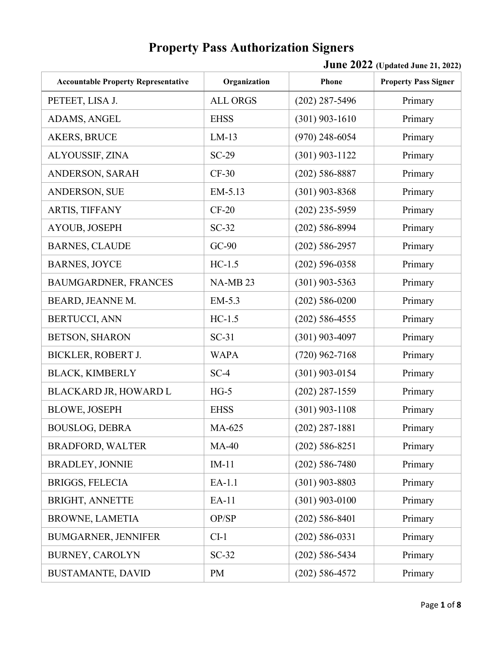| <b>Accountable Property Representative</b> | Organization    | Phone              | <b>Property Pass Signer</b> |
|--------------------------------------------|-----------------|--------------------|-----------------------------|
| PETEET, LISA J.                            | <b>ALL ORGS</b> | $(202)$ 287-5496   | Primary                     |
| ADAMS, ANGEL                               | <b>EHSS</b>     | $(301)$ 903-1610   | Primary                     |
| <b>AKERS, BRUCE</b>                        | $LM-13$         | $(970)$ 248-6054   | Primary                     |
| ALYOUSSIF, ZINA                            | $SC-29$         | $(301)$ 903-1122   | Primary                     |
| ANDERSON, SARAH                            | $CF-30$         | $(202)$ 586-8887   | Primary                     |
| ANDERSON, SUE                              | EM-5.13         | $(301)$ 903-8368   | Primary                     |
| ARTIS, TIFFANY                             | $CF-20$         | $(202)$ 235-5959   | Primary                     |
| AYOUB, JOSEPH                              | $SC-32$         | $(202)$ 586-8994   | Primary                     |
| <b>BARNES, CLAUDE</b>                      | $GC-90$         | $(202) 586 - 2957$ | Primary                     |
| <b>BARNES, JOYCE</b>                       | $HC-1.5$        | $(202) 596 - 0358$ | Primary                     |
| BAUMGARDNER, FRANCES                       | <b>NA-MB23</b>  | $(301)$ 903-5363   | Primary                     |
| BEARD, JEANNE M.                           | EM-5.3          | $(202) 586 - 0200$ | Primary                     |
| <b>BERTUCCI, ANN</b>                       | $HC-1.5$        | $(202)$ 586-4555   | Primary                     |
| <b>BETSON, SHARON</b>                      | $SC-31$         | $(301)$ 903-4097   | Primary                     |
| <b>BICKLER, ROBERT J.</b>                  | <b>WAPA</b>     | $(720)$ 962-7168   | Primary                     |
| <b>BLACK, KIMBERLY</b>                     | $SC-4$          | $(301)$ 903-0154   | Primary                     |
| BLACKARD JR, HOWARD L                      | $HG-5$          | $(202)$ 287-1559   | Primary                     |
| <b>BLOWE, JOSEPH</b>                       | <b>EHSS</b>     | $(301)$ 903-1108   | Primary                     |
| <b>BOUSLOG, DEBRA</b>                      | MA-625          | $(202)$ 287-1881   | Primary                     |
| <b>BRADFORD, WALTER</b>                    | $MA-40$         | $(202)$ 586-8251   | Primary                     |
| <b>BRADLEY, JONNIE</b>                     | $IM-11$         | $(202) 586 - 7480$ | Primary                     |
| <b>BRIGGS, FELECIA</b>                     | $EA-1.1$        | $(301)$ 903-8803   | Primary                     |
| <b>BRIGHT, ANNETTE</b>                     | EA-11           | $(301)$ 903-0100   | Primary                     |
| <b>BROWNE, LAMETIA</b>                     | OP/SP           | $(202)$ 586-8401   | Primary                     |
| <b>BUMGARNER, JENNIFER</b>                 | $CI-1$          | $(202) 586 - 0331$ | Primary                     |
| <b>BURNEY, CAROLYN</b>                     | $SC-32$         | $(202)$ 586-5434   | Primary                     |
| <b>BUSTAMANTE, DAVID</b>                   | <b>PM</b>       | $(202) 586 - 4572$ | Primary                     |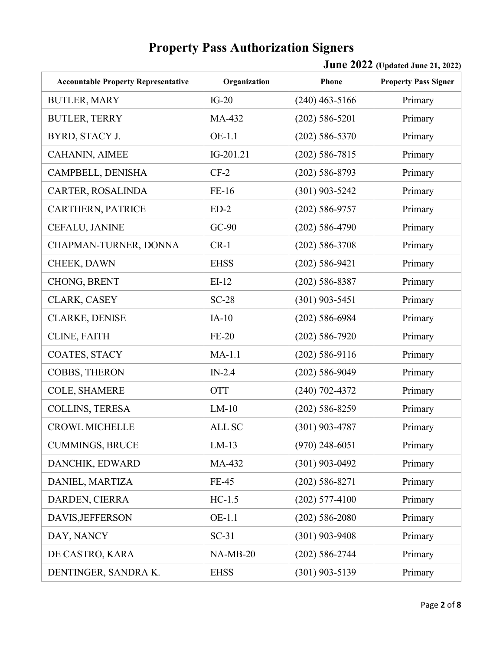| <b>Accountable Property Representative</b> | Organization | Phone              | <b>Property Pass Signer</b> |
|--------------------------------------------|--------------|--------------------|-----------------------------|
| <b>BUTLER, MARY</b>                        | $IG-20$      | $(240)$ 463-5166   | Primary                     |
| <b>BUTLER, TERRY</b>                       | MA-432       | $(202) 586 - 5201$ | Primary                     |
| BYRD, STACY J.                             | OE-1.1       | $(202) 586 - 5370$ | Primary                     |
| CAHANIN, AIMEE                             | IG-201.21    | $(202) 586 - 7815$ | Primary                     |
| CAMPBELL, DENISHA                          | $CF-2$       | $(202)$ 586-8793   | Primary                     |
| CARTER, ROSALINDA                          | FE-16        | $(301)$ 903-5242   | Primary                     |
| CARTHERN, PATRICE                          | $ED-2$       | $(202) 586 - 9757$ | Primary                     |
| CEFALU, JANINE                             | $GC-90$      | $(202) 586 - 4790$ | Primary                     |
| CHAPMAN-TURNER, DONNA                      | $CR-1$       | $(202) 586 - 3708$ | Primary                     |
| CHEEK, DAWN                                | <b>EHSS</b>  | $(202) 586 - 9421$ | Primary                     |
| CHONG, BRENT                               | $EI-12$      | $(202) 586 - 8387$ | Primary                     |
| CLARK, CASEY                               | $SC-28$      | $(301)$ 903-5451   | Primary                     |
| <b>CLARKE, DENISE</b>                      | $IA-10$      | $(202) 586 - 6984$ | Primary                     |
| CLINE, FAITH                               | $FE-20$      | $(202) 586 - 7920$ | Primary                     |
| COATES, STACY                              | $MA-1.1$     | $(202)$ 586-9116   | Primary                     |
| COBBS, THERON                              | $IN-2.4$     | $(202) 586 - 9049$ | Primary                     |
| COLE, SHAMERE                              | <b>OTT</b>   | $(240)$ 702-4372   | Primary                     |
| COLLINS, TERESA                            | $LM-10$      | $(202) 586 - 8259$ | Primary                     |
| <b>CROWL MICHELLE</b>                      | ALL SC       | $(301)$ 903-4787   | Primary                     |
| <b>CUMMINGS, BRUCE</b>                     | $LM-13$      | $(970)$ 248-6051   | Primary                     |
| DANCHIK, EDWARD                            | MA-432       | $(301)$ 903-0492   | Primary                     |
| DANIEL, MARTIZA                            | <b>FE-45</b> | $(202) 586 - 8271$ | Primary                     |
| DARDEN, CIERRA                             | $HC-1.5$     | $(202)$ 577-4100   | Primary                     |
| DAVIS, JEFFERSON                           | OE-1.1       | $(202) 586 - 2080$ | Primary                     |
| DAY, NANCY                                 | $SC-31$      | $(301)$ 903-9408   | Primary                     |
| DE CASTRO, KARA                            | $NA-MB-20$   | $(202) 586 - 2744$ | Primary                     |
| DENTINGER, SANDRA K.                       | <b>EHSS</b>  | $(301)$ 903-5139   | Primary                     |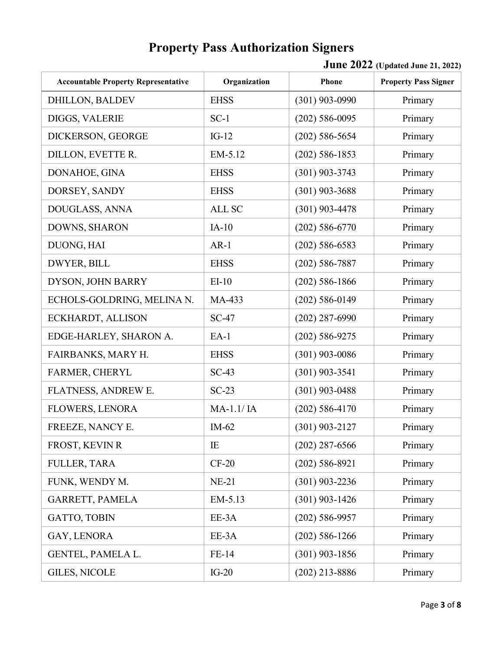| <b>Accountable Property Representative</b> | Organization | Phone              | <b>Property Pass Signer</b> |
|--------------------------------------------|--------------|--------------------|-----------------------------|
| <b>DHILLON, BALDEV</b>                     | <b>EHSS</b>  | $(301)$ 903-0990   | Primary                     |
| DIGGS, VALERIE                             | $SC-1$       | $(202) 586 - 0095$ | Primary                     |
| DICKERSON, GEORGE                          | $IG-12$      | $(202)$ 586-5654   | Primary                     |
| DILLON, EVETTE R.                          | EM-5.12      | $(202)$ 586-1853   | Primary                     |
| DONAHOE, GINA                              | <b>EHSS</b>  | $(301)$ 903-3743   | Primary                     |
| DORSEY, SANDY                              | <b>EHSS</b>  | $(301)$ 903-3688   | Primary                     |
| DOUGLASS, ANNA                             | ALL SC       | $(301)$ 903-4478   | Primary                     |
| DOWNS, SHARON                              | $IA-10$      | $(202)$ 586-6770   | Primary                     |
| DUONG, HAI                                 | $AR-1$       | $(202)$ 586-6583   | Primary                     |
| DWYER, BILL                                | <b>EHSS</b>  | $(202)$ 586-7887   | Primary                     |
| DYSON, JOHN BARRY                          | $EI-10$      | $(202)$ 586-1866   | Primary                     |
| ECHOLS-GOLDRING, MELINA N.                 | MA-433       | $(202)$ 586-0149   | Primary                     |
| ECKHARDT, ALLISON                          | $SC-47$      | $(202)$ 287-6990   | Primary                     |
| EDGE-HARLEY, SHARON A.                     | $EA-1$       | $(202) 586 - 9275$ | Primary                     |
| FAIRBANKS, MARY H.                         | <b>EHSS</b>  | $(301)$ 903-0086   | Primary                     |
| FARMER, CHERYL                             | $SC-43$      | $(301)$ 903-3541   | Primary                     |
| FLATNESS, ANDREW E.                        | $SC-23$      | $(301)$ 903-0488   | Primary                     |
| <b>FLOWERS, LENORA</b>                     | MA-1.1/IA    | $(202)$ 586-4170   | Primary                     |
| FREEZE, NANCY E.                           | $IM-62$      | $(301)$ 903-2127   | Primary                     |
| FROST, KEVIN R                             | IE           | $(202)$ 287-6566   | Primary                     |
| <b>FULLER, TARA</b>                        | $CF-20$      | $(202)$ 586-8921   | Primary                     |
| FUNK, WENDY M.                             | $NE-21$      | $(301)$ 903-2236   | Primary                     |
| GARRETT, PAMELA                            | EM-5.13      | $(301)$ 903-1426   | Primary                     |
| <b>GATTO, TOBIN</b>                        | EE-3A        | $(202)$ 586-9957   | Primary                     |
| GAY, LENORA                                | EE-3A        | $(202)$ 586-1266   | Primary                     |
| GENTEL, PAMELA L.                          | FE-14        | $(301)$ 903-1856   | Primary                     |
| <b>GILES, NICOLE</b>                       | $IG-20$      | $(202)$ 213-8886   | Primary                     |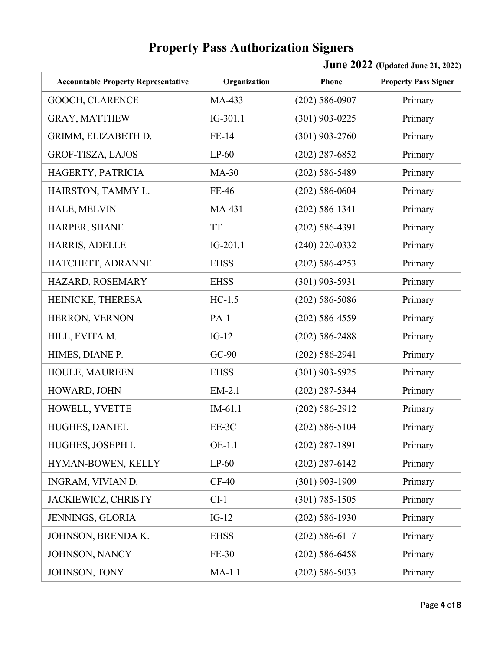| <b>Accountable Property Representative</b> | Organization | Phone              | <b>Property Pass Signer</b> |
|--------------------------------------------|--------------|--------------------|-----------------------------|
| GOOCH, CLARENCE                            | MA-433       | $(202) 586 - 0907$ | Primary                     |
| <b>GRAY, MATTHEW</b>                       | IG-301.1     | $(301)$ 903-0225   | Primary                     |
| GRIMM, ELIZABETH D.                        | FE-14        | $(301)$ 903-2760   | Primary                     |
| <b>GROF-TISZA, LAJOS</b>                   | $LP-60$      | $(202)$ 287-6852   | Primary                     |
| HAGERTY, PATRICIA                          | $MA-30$      | $(202)$ 586-5489   | Primary                     |
| HAIRSTON, TAMMY L.                         | FE-46        | $(202)$ 586-0604   | Primary                     |
| HALE, MELVIN                               | MA-431       | $(202)$ 586-1341   | Primary                     |
| HARPER, SHANE                              | <b>TT</b>    | $(202) 586 - 4391$ | Primary                     |
| HARRIS, ADELLE                             | $IG-201.1$   | $(240)$ 220-0332   | Primary                     |
| HATCHETT, ADRANNE                          | <b>EHSS</b>  | $(202)$ 586-4253   | Primary                     |
| HAZARD, ROSEMARY                           | <b>EHSS</b>  | $(301)$ 903-5931   | Primary                     |
| HEINICKE, THERESA                          | $HC-1.5$     | $(202)$ 586-5086   | Primary                     |
| HERRON, VERNON                             | $PA-1$       | $(202)$ 586-4559   | Primary                     |
| HILL, EVITA M.                             | $IG-12$      | $(202) 586 - 2488$ | Primary                     |
| HIMES, DIANE P.                            | $GC-90$      | $(202)$ 586-2941   | Primary                     |
| HOULE, MAUREEN                             | <b>EHSS</b>  | $(301)$ 903-5925   | Primary                     |
| HOWARD, JOHN                               | EM-2.1       | $(202)$ 287-5344   | Primary                     |
| HOWELL, YVETTE                             | $IM-61.1$    | $(202) 586 - 2912$ | Primary                     |
| HUGHES, DANIEL                             | EE-3C        | $(202)$ 586-5104   | Primary                     |
| HUGHES, JOSEPH L                           | OE-1.1       | $(202)$ 287-1891   | Primary                     |
| HYMAN-BOWEN, KELLY                         | $LP-60$      | $(202)$ 287-6142   | Primary                     |
| INGRAM, VIVIAN D.                          | $CF-40$      | $(301)$ 903-1909   | Primary                     |
| JACKIEWICZ, CHRISTY                        | $CI-1$       | $(301) 785 - 1505$ | Primary                     |
| JENNINGS, GLORIA                           | $IG-12$      | $(202)$ 586-1930   | Primary                     |
| JOHNSON, BRENDA K.                         | <b>EHSS</b>  | $(202)$ 586-6117   | Primary                     |
| JOHNSON, NANCY                             | FE-30        | $(202)$ 586-6458   | Primary                     |
| JOHNSON, TONY                              | $MA-1.1$     | $(202)$ 586-5033   | Primary                     |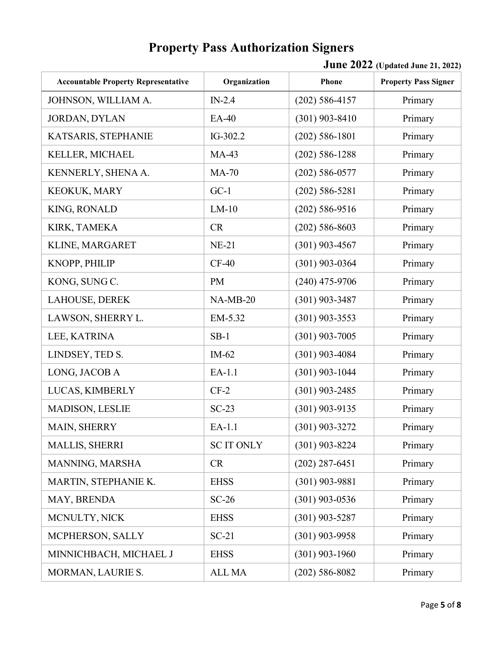| <b>Accountable Property Representative</b> | Organization     | Phone              | <b>Property Pass Signer</b> |
|--------------------------------------------|------------------|--------------------|-----------------------------|
| JOHNSON, WILLIAM A.                        | $IN-2.4$         | $(202)$ 586-4157   | Primary                     |
| JORDAN, DYLAN                              | EA-40            | $(301)$ 903-8410   | Primary                     |
| KATSARIS, STEPHANIE                        | IG-302.2         | $(202) 586 - 1801$ | Primary                     |
| KELLER, MICHAEL                            | $MA-43$          | $(202) 586 - 1288$ | Primary                     |
| KENNERLY, SHENA A.                         | $MA-70$          | $(202) 586 - 0577$ | Primary                     |
| KEOKUK, MARY                               | $GC-1$           | $(202)$ 586-5281   | Primary                     |
| KING, RONALD                               | $LM-10$          | $(202)$ 586-9516   | Primary                     |
| KIRK, TAMEKA                               | CR               | $(202)$ 586-8603   | Primary                     |
| KLINE, MARGARET                            | $NE-21$          | $(301)$ 903-4567   | Primary                     |
| KNOPP, PHILIP                              | $CF-40$          | $(301)$ 903-0364   | Primary                     |
| KONG, SUNG C.                              | <b>PM</b>        | $(240)$ 475-9706   | Primary                     |
| LAHOUSE, DEREK                             | $NA-MB-20$       | $(301)$ 903-3487   | Primary                     |
| LAWSON, SHERRY L.                          | EM-5.32          | $(301)$ 903-3553   | Primary                     |
| LEE, KATRINA                               | $SB-1$           | $(301)$ 903-7005   | Primary                     |
| LINDSEY, TED S.                            | $IM-62$          | $(301)$ 903-4084   | Primary                     |
| LONG, JACOB A                              | EA-1.1           | $(301)$ 903-1044   | Primary                     |
| LUCAS, KIMBERLY                            | $CF-2$           | $(301)$ 903-2485   | Primary                     |
| MADISON, LESLIE                            | $SC-23$          | $(301)$ 903-9135   | Primary                     |
| MAIN, SHERRY                               | EA-1.1           | $(301)$ 903-3272   | Primary                     |
| MALLIS, SHERRI                             | <b>SCIT ONLY</b> | $(301)$ 903-8224   | Primary                     |
| MANNING, MARSHA                            | <b>CR</b>        | $(202)$ 287-6451   | Primary                     |
| MARTIN, STEPHANIE K.                       | <b>EHSS</b>      | $(301)$ 903-9881   | Primary                     |
| MAY, BRENDA                                | $SC-26$          | $(301)$ 903-0536   | Primary                     |
| MCNULTY, NICK                              | <b>EHSS</b>      | $(301)$ 903-5287   | Primary                     |
| MCPHERSON, SALLY                           | $SC-21$          | $(301)$ 903-9958   | Primary                     |
| MINNICHBACH, MICHAEL J                     | <b>EHSS</b>      | $(301)$ 903-1960   | Primary                     |
| MORMAN, LAURIE S.                          | <b>ALL MA</b>    | $(202) 586 - 8082$ | Primary                     |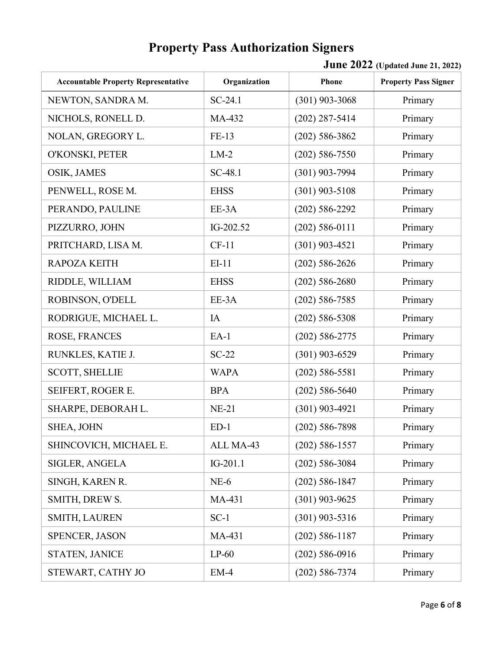| <b>Accountable Property Representative</b> | Organization | Phone              | <b>Property Pass Signer</b> |
|--------------------------------------------|--------------|--------------------|-----------------------------|
| NEWTON, SANDRA M.                          | $SC-24.1$    | $(301)$ 903-3068   | Primary                     |
| NICHOLS, RONELL D.                         | MA-432       | $(202)$ 287-5414   | Primary                     |
| NOLAN, GREGORY L.                          | FE-13        | $(202) 586 - 3862$ | Primary                     |
| O'KONSKI, PETER                            | $LM-2$       | $(202) 586 - 7550$ | Primary                     |
| OSIK, JAMES                                | SC-48.1      | $(301)$ 903-7994   | Primary                     |
| PENWELL, ROSE M.                           | <b>EHSS</b>  | $(301)$ 903-5108   | Primary                     |
| PERANDO, PAULINE                           | EE-3A        | $(202) 586 - 2292$ | Primary                     |
| PIZZURRO, JOHN                             | IG-202.52    | $(202) 586 - 0111$ | Primary                     |
| PRITCHARD, LISA M.                         | $CF-11$      | $(301)$ 903-4521   | Primary                     |
| <b>RAPOZA KEITH</b>                        | $EI-11$      | $(202) 586 - 2626$ | Primary                     |
| RIDDLE, WILLIAM                            | <b>EHSS</b>  | $(202) 586 - 2680$ | Primary                     |
| ROBINSON, O'DELL                           | EE-3A        | $(202) 586 - 7585$ | Primary                     |
| RODRIGUE, MICHAEL L.                       | IA           | $(202) 586 - 5308$ | Primary                     |
| ROSE, FRANCES                              | $EA-1$       | $(202) 586 - 2775$ | Primary                     |
| RUNKLES, KATIE J.                          | $SC-22$      | $(301)$ 903-6529   | Primary                     |
| <b>SCOTT, SHELLIE</b>                      | <b>WAPA</b>  | $(202) 586 - 5581$ | Primary                     |
| SEIFERT, ROGER E.                          | <b>BPA</b>   | $(202)$ 586-5640   | Primary                     |
| SHARPE, DEBORAH L.                         | $NE-21$      | $(301)$ 903-4921   | Primary                     |
| SHEA, JOHN                                 | $ED-1$       | $(202)$ 586-7898   | Primary                     |
| SHINCOVICH, MICHAEL E.                     | ALL MA-43    | $(202) 586 - 1557$ | Primary                     |
| <b>SIGLER, ANGELA</b>                      | $IG-201.1$   | $(202)$ 586-3084   | Primary                     |
| SINGH, KAREN R.                            | $NE-6$       | $(202)$ 586-1847   | Primary                     |
| SMITH, DREW S.                             | MA-431       | $(301)$ 903-9625   | Primary                     |
| <b>SMITH, LAUREN</b>                       | $SC-1$       | $(301)$ 903-5316   | Primary                     |
| <b>SPENCER, JASON</b>                      | MA-431       | $(202) 586 - 1187$ | Primary                     |
| <b>STATEN, JANICE</b>                      | $LP-60$      | $(202)$ 586-0916   | Primary                     |
| STEWART, CATHY JO                          | $EM-4$       | $(202) 586 - 7374$ | Primary                     |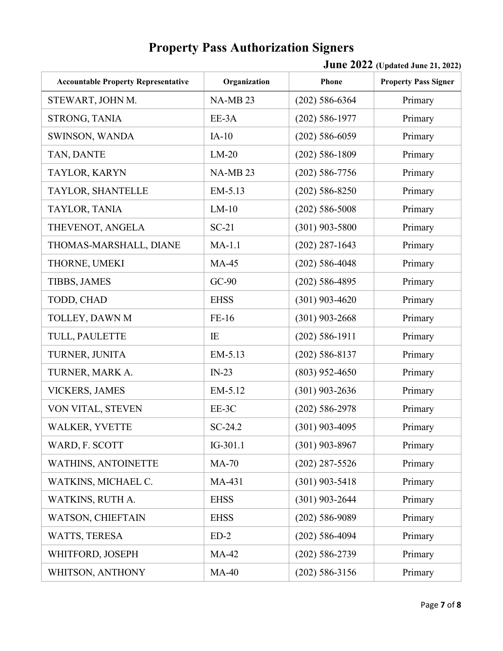| <b>Accountable Property Representative</b> | Organization        | Phone              | <b>Property Pass Signer</b> |
|--------------------------------------------|---------------------|--------------------|-----------------------------|
| STEWART, JOHN M.                           | NA-MB <sub>23</sub> | $(202) 586 - 6364$ | Primary                     |
| STRONG, TANIA                              | EE-3A               | $(202)$ 586-1977   | Primary                     |
| SWINSON, WANDA                             | $IA-10$             | $(202)$ 586-6059   | Primary                     |
| TAN, DANTE                                 | $LM-20$             | $(202) 586 - 1809$ | Primary                     |
| TAYLOR, KARYN                              | <b>NA-MB23</b>      | $(202)$ 586-7756   | Primary                     |
| TAYLOR, SHANTELLE                          | EM-5.13             | $(202)$ 586-8250   | Primary                     |
| TAYLOR, TANIA                              | $LM-10$             | $(202) 586 - 5008$ | Primary                     |
| THEVENOT, ANGELA                           | $SC-21$             | $(301)$ 903-5800   | Primary                     |
| THOMAS-MARSHALL, DIANE                     | $MA-1.1$            | $(202)$ 287-1643   | Primary                     |
| THORNE, UMEKI                              | <b>MA-45</b>        | $(202)$ 586-4048   | Primary                     |
| <b>TIBBS, JAMES</b>                        | $GC-90$             | $(202)$ 586-4895   | Primary                     |
| TODD, CHAD                                 | <b>EHSS</b>         | $(301)$ 903-4620   | Primary                     |
| TOLLEY, DAWN M                             | FE-16               | $(301)$ 903-2668   | Primary                     |
| TULL, PAULETTE                             | IE                  | $(202)$ 586-1911   | Primary                     |
| TURNER, JUNITA                             | EM-5.13             | $(202)$ 586-8137   | Primary                     |
| TURNER, MARK A.                            | $IN-23$             | $(803)$ 952-4650   | Primary                     |
| <b>VICKERS, JAMES</b>                      | EM-5.12             | $(301)$ 903-2636   | Primary                     |
| VON VITAL, STEVEN                          | EE-3C               | $(202) 586 - 2978$ | Primary                     |
| <b>WALKER, YVETTE</b>                      | SC-24.2             | $(301)$ 903-4095   | Primary                     |
| WARD, F. SCOTT                             | IG-301.1            | $(301)$ 903-8967   | Primary                     |
| <b>WATHINS, ANTOINETTE</b>                 | <b>MA-70</b>        | $(202)$ 287-5526   | Primary                     |
| WATKINS, MICHAEL C.                        | MA-431              | $(301)$ 903-5418   | Primary                     |
| WATKINS, RUTH A.                           | <b>EHSS</b>         | $(301)$ 903-2644   | Primary                     |
| WATSON, CHIEFTAIN                          | <b>EHSS</b>         | $(202)$ 586-9089   | Primary                     |
| WATTS, TERESA                              | $ED-2$              | $(202)$ 586-4094   | Primary                     |
| WHITFORD, JOSEPH                           | $MA-42$             | $(202) 586 - 2739$ | Primary                     |
| WHITSON, ANTHONY                           | $MA-40$             | $(202)$ 586-3156   | Primary                     |